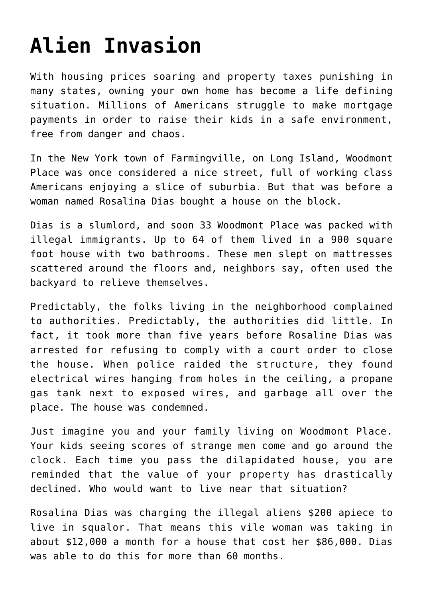## **[Alien Invasion](https://bernardgoldberg.com/drawing-the-line-on-the-border/)**

With housing prices soaring and property taxes punishing in many states, owning your own home has become a life defining situation. Millions of Americans struggle to make mortgage payments in order to raise their kids in a safe environment, free from danger and chaos.

In the New York town of Farmingville, on Long Island, Woodmont Place was once considered a nice street, full of working class Americans enjoying a slice of suburbia. But that was before a woman named Rosalina Dias bought a house on the block.

Dias is a slumlord, and soon 33 Woodmont Place was packed with illegal immigrants. Up to 64 of them lived in a 900 square foot house with two bathrooms. These men slept on mattresses scattered around the floors and, neighbors say, often used the backyard to relieve themselves.

Predictably, the folks living in the neighborhood complained to authorities. Predictably, the authorities did little. In fact, it took more than five years before Rosaline Dias was arrested for refusing to comply with a court order to close the house. When police raided the structure, they found electrical wires hanging from holes in the ceiling, a propane gas tank next to exposed wires, and garbage all over the place. The house was condemned.

Just imagine you and your family living on Woodmont Place. Your kids seeing scores of strange men come and go around the clock. Each time you pass the dilapidated house, you are reminded that the value of your property has drastically declined. Who would want to live near that situation?

Rosalina Dias was charging the illegal aliens \$200 apiece to live in squalor. That means this vile woman was taking in about \$12,000 a month for a house that cost her \$86,000. Dias was able to do this for more than 60 months.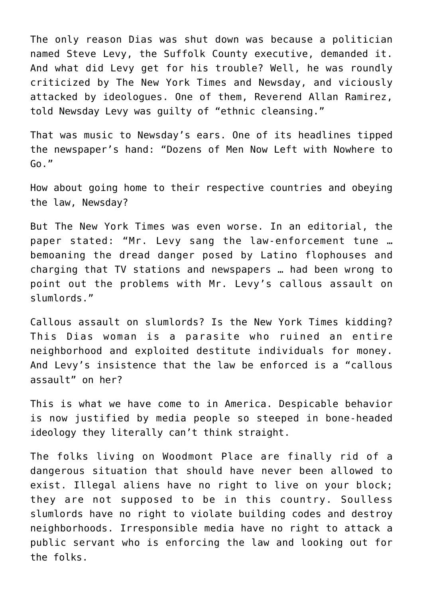The only reason Dias was shut down was because a politician named Steve Levy, the Suffolk County executive, demanded it. And what did Levy get for his trouble? Well, he was roundly criticized by The New York Times and Newsday, and viciously attacked by ideologues. One of them, Reverend Allan Ramirez, told Newsday Levy was guilty of "ethnic cleansing."

That was music to Newsday's ears. One of its headlines tipped the newspaper's hand: "Dozens of Men Now Left with Nowhere to Go."

How about going home to their respective countries and obeying the law, Newsday?

But The New York Times was even worse. In an editorial, the paper stated: "Mr. Levy sang the law-enforcement tune … bemoaning the dread danger posed by Latino flophouses and charging that TV stations and newspapers … had been wrong to point out the problems with Mr. Levy's callous assault on slumlords."

Callous assault on slumlords? Is the New York Times kidding? This Dias woman is a parasite who ruined an entire neighborhood and exploited destitute individuals for money. And Levy's insistence that the law be enforced is a "callous assault" on her?

This is what we have come to in America. Despicable behavior is now justified by media people so steeped in bone-headed ideology they literally can't think straight.

The folks living on Woodmont Place are finally rid of a dangerous situation that should have never been allowed to exist. Illegal aliens have no right to live on your block; they are not supposed to be in this country. Soulless slumlords have no right to violate building codes and destroy neighborhoods. Irresponsible media have no right to attack a public servant who is enforcing the law and looking out for the folks.